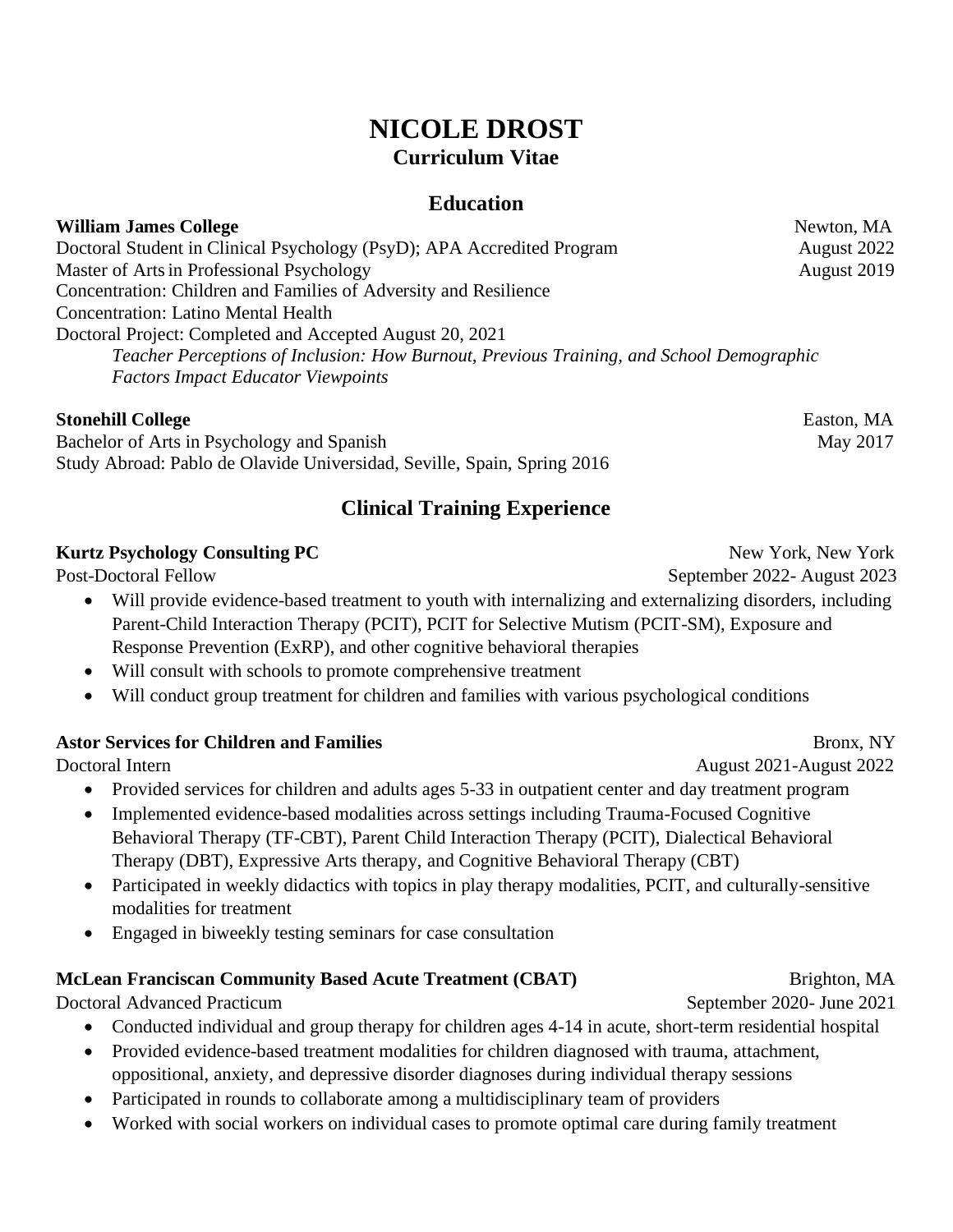# **NICOLE DROST Curriculum Vitae**

## **Education**

| <b>William James College</b>                                                             | Newton, MA  |
|------------------------------------------------------------------------------------------|-------------|
| Doctoral Student in Clinical Psychology (PsyD); APA Accredited Program                   | August 2022 |
| Master of Arts in Professional Psychology                                                | August 2019 |
| Concentration: Children and Families of Adversity and Resilience                         |             |
| <b>Concentration: Latino Mental Health</b>                                               |             |
| Doctoral Project: Completed and Accepted August 20, 2021                                 |             |
| Teacher Perceptions of Inclusion: How Burnout, Previous Training, and School Demographic |             |
| <b>Factors Impact Educator Viewpoints</b>                                                |             |

#### **Stonehill College** Easton, MA

Bachelor of Arts in Psychology and Spanish May 2017 Study Abroad: Pablo de Olavide Universidad, Seville, Spain, Spring 2016

# **Clinical Training Experience**

#### **Kurtz Psychology Consulting PC** New York, New York, New York

- Will provide evidence-based treatment to youth with internalizing and externalizing disorders, including Parent-Child Interaction Therapy (PCIT), PCIT for Selective Mutism (PCIT-SM), Exposure and Response Prevention (ExRP), and other cognitive behavioral therapies
- Will consult with schools to promote comprehensive treatment
- Will conduct group treatment for children and families with various psychological conditions

#### **Astor Services for Children and Families** Bronx, NY

- Provided services for children and adults ages 5-33 in outpatient center and day treatment program
- Implemented evidence-based modalities across settings including Trauma-Focused Cognitive Behavioral Therapy (TF-CBT), Parent Child Interaction Therapy (PCIT), Dialectical Behavioral Therapy (DBT), Expressive Arts therapy, and Cognitive Behavioral Therapy (CBT)
- Participated in weekly didactics with topics in play therapy modalities, PCIT, and culturally-sensitive modalities for treatment
- Engaged in biweekly testing seminars for case consultation

# **McLean Franciscan Community Based Acute Treatment (CBAT)** Brighton, MA

Doctoral Advanced Practicum September 2020- June 2021

- Conducted individual and group therapy for children ages 4-14 in acute, short-term residential hospital
- Provided evidence-based treatment modalities for children diagnosed with trauma, attachment, oppositional, anxiety, and depressive disorder diagnoses during individual therapy sessions
- Participated in rounds to collaborate among a multidisciplinary team of providers
- Worked with social workers on individual cases to promote optimal care during family treatment

Post-Doctoral Fellow September 2022- August 2023

Doctoral Intern August 2021-August 2022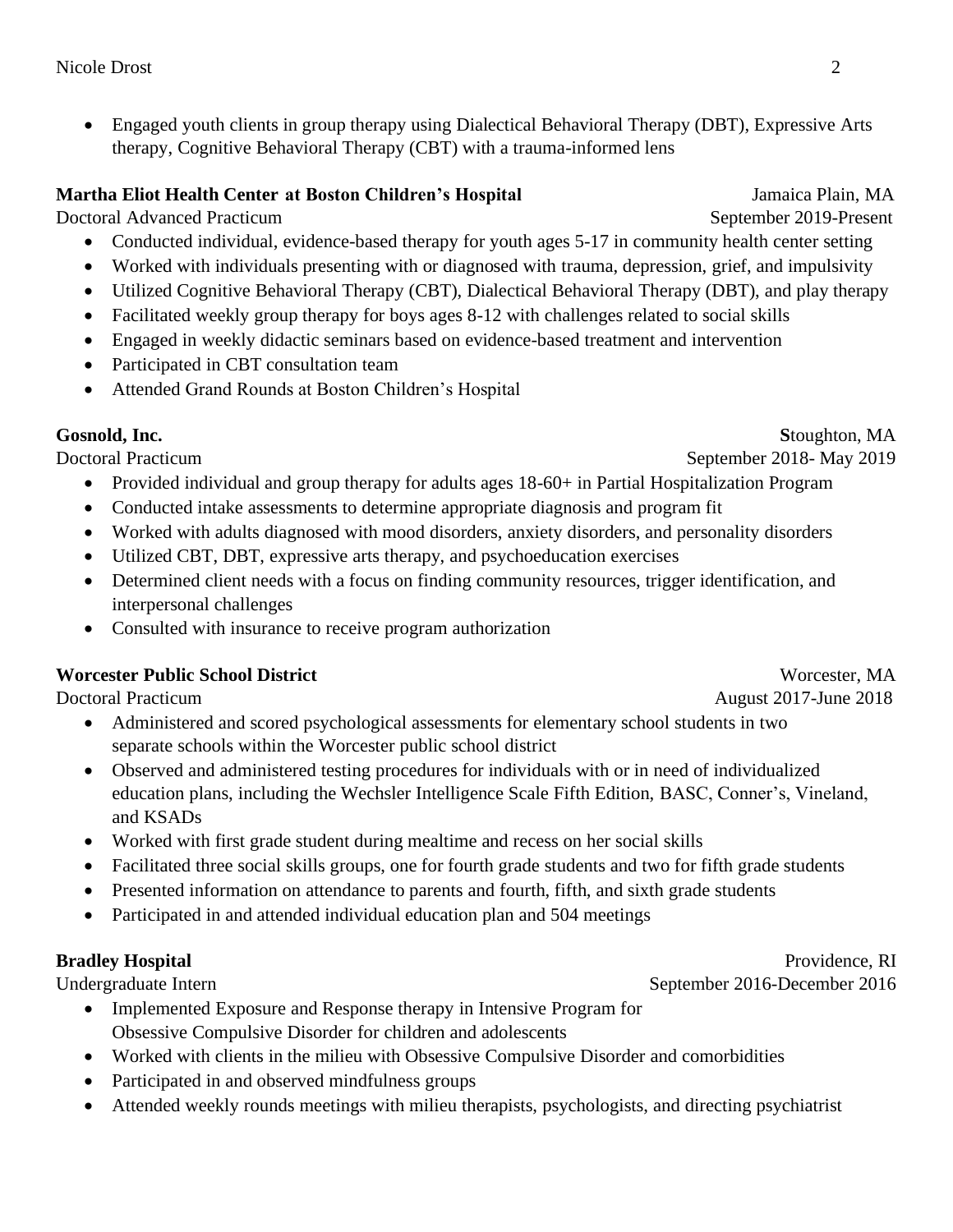• Engaged youth clients in group therapy using Dialectical Behavioral Therapy (DBT), Expressive Arts therapy, Cognitive Behavioral Therapy (CBT) with a trauma-informed lens

#### **Martha Eliot Health Center at Boston Children's Hospital** *Jamaica Plain, MA*

Doctoral Advanced Practicum September 2019-Present

- Conducted individual, evidence-based therapy for youth ages 5-17 in community health center setting
- Worked with individuals presenting with or diagnosed with trauma, depression, grief, and impulsivity
- Utilized Cognitive Behavioral Therapy (CBT), Dialectical Behavioral Therapy (DBT), and play therapy
- Facilitated weekly group therapy for boys ages 8-12 with challenges related to social skills
- Engaged in weekly didactic seminars based on evidence-based treatment and intervention
- Participated in CBT consultation team
- Attended Grand Rounds at Boston Children's Hospital

Doctoral Practicum September 2018- May 2019

- Provided individual and group therapy for adults ages 18-60+ in Partial Hospitalization Program
- Conducted intake assessments to determine appropriate diagnosis and program fit
- Worked with adults diagnosed with mood disorders, anxiety disorders, and personality disorders
- Utilized CBT, DBT, expressive arts therapy, and psychoeducation exercises
- Determined client needs with a focus on finding community resources, trigger identification, and interpersonal challenges
- Consulted with insurance to receive program authorization

## **Worcester Public School District** Worcester, MA

- Administered and scored psychological assessments for elementary school students in two separate schools within the Worcester public school district
- Observed and administered testing procedures for individuals with or in need of individualized education plans, including the Wechsler Intelligence Scale Fifth Edition, BASC, Conner's, Vineland, and KSADs
- Worked with first grade student during mealtime and recess on her social skills
- Facilitated three social skills groups, one for fourth grade students and two for fifth grade students
- Presented information on attendance to parents and fourth, fifth, and sixth grade students
- Participated in and attended individual education plan and 504 meetings

- Implemented Exposure and Response therapy in Intensive Program for Obsessive Compulsive Disorder for children and adolescents
- Worked with clients in the milieu with Obsessive Compulsive Disorder and comorbidities
- Participated in and observed mindfulness groups
- Attended weekly rounds meetings with milieu therapists, psychologists, and directing psychiatrist

Doctoral Practicum August 2017-June 2018

#### **Bradley Hospital** Providence, RI Undergraduate Intern September 2016-December 2016

**Gosnold, Inc. S**toughton, MA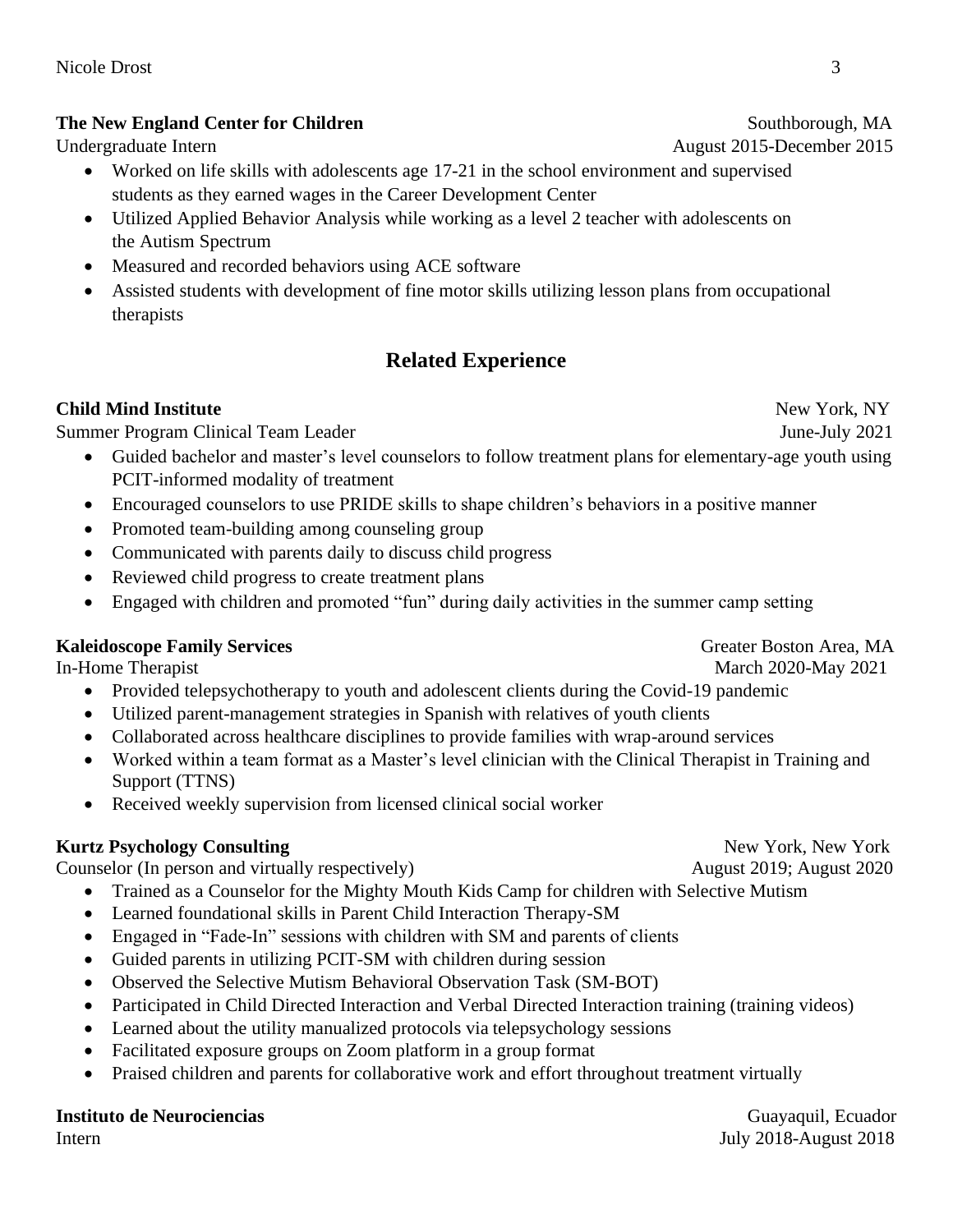#### **The New England Center for Children Southborough, MA**

- Worked on life skills with adolescents age 17-21 in the school environment and supervised students as they earned wages in the Career Development Center
- Utilized Applied Behavior Analysis while working as a level 2 teacher with adolescents on the Autism Spectrum
- Measured and recorded behaviors using ACE software
- Assisted students with development of fine motor skills utilizing lesson plans from occupational therapists

# **Related Experience**

#### **Child Mind Institute** New York, NY

Summer Program Clinical Team Leader June-July 2021

- Guided bachelor and master's level counselors to follow treatment plans for elementary-age youth using PCIT-informed modality of treatment
- Encouraged counselors to use PRIDE skills to shape children's behaviors in a positive manner
- Promoted team-building among counseling group
- Communicated with parents daily to discuss child progress
- Reviewed child progress to create treatment plans
- Engaged with children and promoted "fun" during daily activities in the summer camp setting

#### **Kaleidoscope Family Services Greater Boston Area, MA**

In-Home Therapist March 2020-May 2021

- Provided telepsychotherapy to youth and adolescent clients during the Covid-19 pandemic
- Utilized parent-management strategies in Spanish with relatives of youth clients
- Collaborated across healthcare disciplines to provide families with wrap-around services
- Worked within a team format as a Master's level clinician with the Clinical Therapist in Training and Support (TTNS)
- Received weekly supervision from licensed clinical social worker

### **Kurtz Psychology Consulting**  New York, New York, New York

Counselor (In person and virtually respectively) August 2019; August 2020

- Trained as a Counselor for the Mighty Mouth Kids Camp for children with Selective Mutism
- Learned foundational skills in Parent Child Interaction Therapy-SM
- Engaged in "Fade-In" sessions with children with SM and parents of clients
- Guided parents in utilizing PCIT-SM with children during session
- Observed the Selective Mutism Behavioral Observation Task (SM-BOT)
- Participated in Child Directed Interaction and Verbal Directed Interaction training (training videos)
- Learned about the utility manualized protocols via telepsychology sessions
- Facilitated exposure groups on Zoom platform in a group format
- Praised children and parents for collaborative work and effort throughout treatment virtually

#### **Instituto de Neurociencias** Guayaquil, Ecuador

InternJuly 2018-August 2018

Undergraduate Intern August 2015-December 2015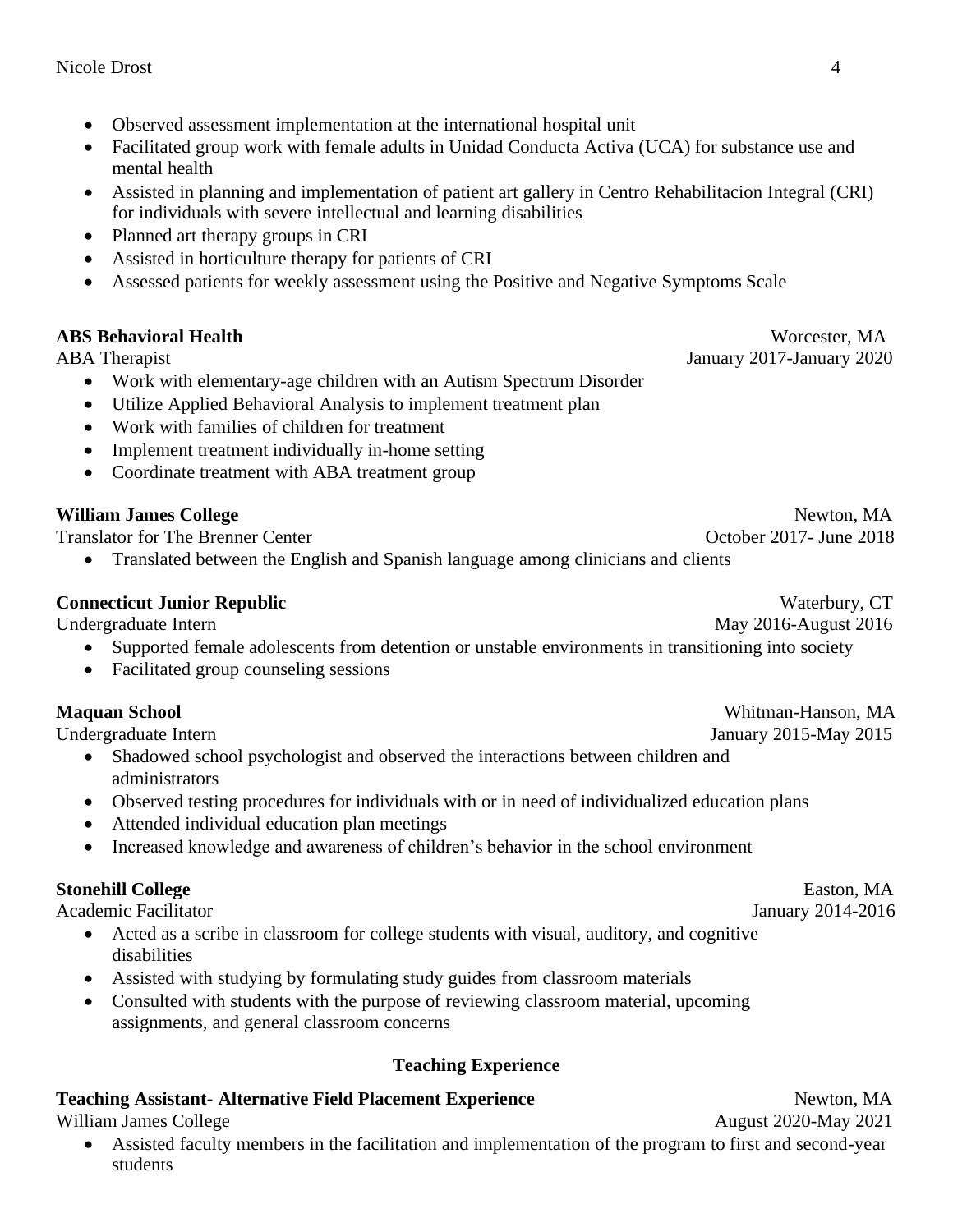- Observed assessment implementation at the international hospital unit
- Facilitated group work with female adults in Unidad Conducta Activa (UCA) for substance use and mental health
- Assisted in planning and implementation of patient art gallery in Centro Rehabilitacion Integral (CRI) for individuals with severe intellectual and learning disabilities
- Planned art therapy groups in CRI
- Assisted in horticulture therapy for patients of CRI
- Assessed patients for weekly assessment using the Positive and Negative Symptoms Scale

- Work with elementary-age children with an Autism Spectrum Disorder
- Utilize Applied Behavioral Analysis to implement treatment plan
- Work with families of children for treatment
- Implement treatment individually in-home setting
- Coordinate treatment with ABA treatment group

#### **William James College**  Newton, MA

Translator for The Brenner Center Center Center Center Center Center Center Center Center Center Center Center

• Translated between the English and Spanish language among clinicians and clients

#### **Connecticut Junior Republic**  Waterbury, CT

Undergraduate Intern May 2016-August 2016

- Supported female adolescents from detention or unstable environments in transitioning into society
- Facilitated group counseling sessions

Undergraduate Intern January 2015-May 2015

- Shadowed school psychologist and observed the interactions between children and administrators
- Observed testing procedures for individuals with or in need of individualized education plans
- Attended individual education plan meetings
- Increased knowledge and awareness of children's behavior in the school environment

#### **Stonehill College Easton, MA**

Academic Facilitator **Academic Facilitation** January 2014-2016

- Acted as a scribe in classroom for college students with visual, auditory, and cognitive disabilities
- Assisted with studying by formulating study guides from classroom materials
- Consulted with students with the purpose of reviewing classroom material, upcoming assignments, and general classroom concerns

### **Teaching Experience**

#### **Teaching Assistant-Alternative Field Placement Experience Mexicon, MA**

William James College August 2020-May 2021

• Assisted faculty members in the facilitation and implementation of the program to first and second-year students

**ABS Behavioral Health** Worcester, MA ABA Therapist January 2020

**Maquan School** Whitman-Hanson, MA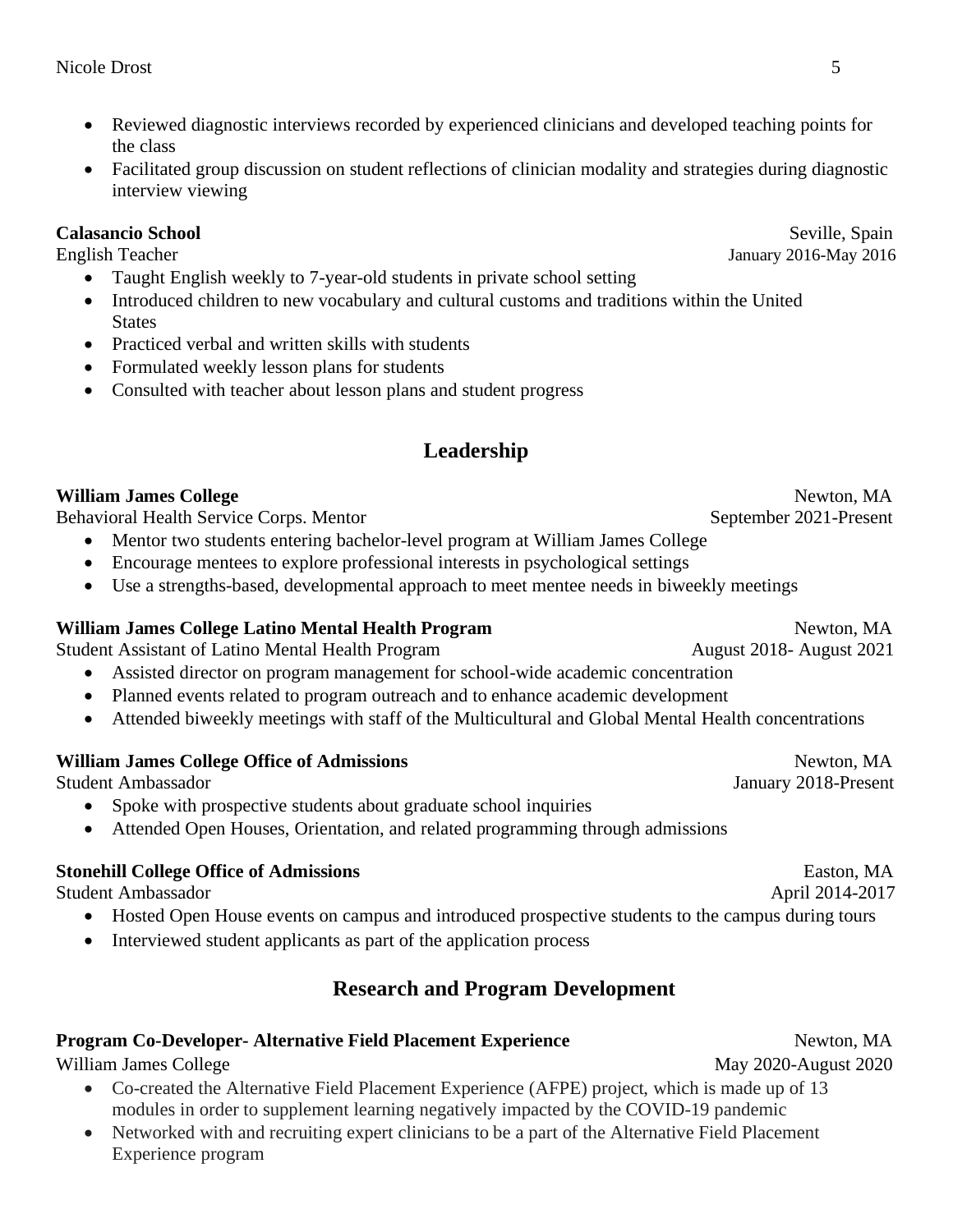- Reviewed diagnostic interviews recorded by experienced clinicians and developed teaching points for the class
- Facilitated group discussion on student reflections of clinician modality and strategies during diagnostic interview viewing

#### **Calasancio School** Seville, Spain

- Taught English weekly to 7-year-old students in private school setting
- Introduced children to new vocabulary and cultural customs and traditions within the United **States**
- Practiced verbal and written skills with students
- Formulated weekly lesson plans for students
- Consulted with teacher about lesson plans and student progress

# **Leadership**

**William James College** Newton, MA

Behavioral Health Service Corps. Mentor September 2021-Present

- Mentor two students entering bachelor-level program at William James College
- Encourage mentees to explore professional interests in psychological settings
- Use a strengths-based, developmental approach to meet mentee needs in biweekly meetings

### **William James College Latino Mental Health Program** Newton, MA

Student Assistant of Latino Mental Health Program August 2018- August 2021

- Assisted director on program management for school-wide academic concentration
- Planned events related to program outreach and to enhance academic development
- Attended biweekly meetings with staff of the Multicultural and Global Mental Health concentrations

#### **William James College Office of Admissions Newton, MA**

Student Ambassador January 2018-Present

- Spoke with prospective students about graduate school inquiries
- Attended Open Houses, Orientation, and related programming through admissions

### **Stonehill College Office of Admissions** Easton, MA

Student Ambassador April 2014-2017

- Hosted Open House events on campus and introduced prospective students to the campus during tours
- Interviewed student applicants as part of the application process

# **Research and Program Development**

### **Program Co-Developer- Alternative Field Placement Experience Mexicon, MA**

William James College May 2020-August 2020

- Co-created the Alternative Field Placement Experience (AFPE) project, which is made up of 13 modules in order to supplement learning negatively impacted by the COVID-19 pandemic
- Networked with and recruiting expert clinicians to be a part of the Alternative Field Placement Experience program

English Teacher January 2016-May 2016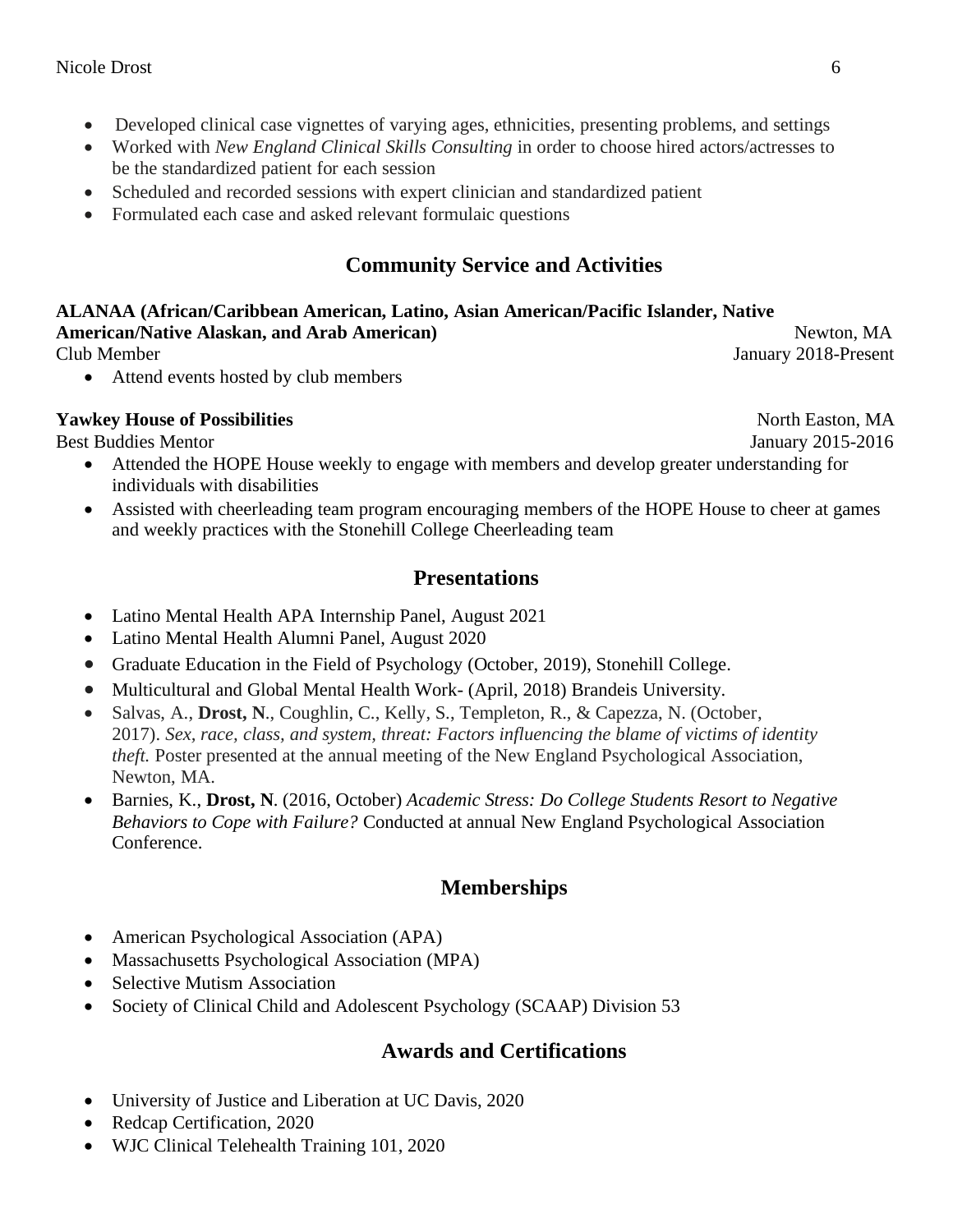- Developed clinical case vignettes of varying ages, ethnicities, presenting problems, and settings
- Worked with *New England Clinical Skills Consulting* in order to choose hired actors/actresses to be the standardized patient for each session
- Scheduled and recorded sessions with expert clinician and standardized patient
- Formulated each case and asked relevant formulaic questions

# **Community Service and Activities**

**ALANAA (African/Caribbean American, Latino, Asian American/Pacific Islander, Native American/Native Alaskan, and Arab American) Newton, MA** Newton, MA Club MemberJanuary 2018-Present

• Attend events hosted by club members

### **Yawkey House of Possibilities** North Easton, MA

Best Buddies Mentor **State Automobile State Automobile State Automobile State Automobile State Automobile State Automobile State Automobile State Automobile State Automobile State Automobile State Automobile State Automobi** 

- Attended the HOPE House weekly to engage with members and develop greater understanding for individuals with disabilities
- Assisted with cheerleading team program encouraging members of the HOPE House to cheer at games and weekly practices with the Stonehill College Cheerleading team

## **Presentations**

- Latino Mental Health APA Internship Panel, August 2021
- Latino Mental Health Alumni Panel, August 2020
- Graduate Education in the Field of Psychology (October, 2019), Stonehill College.
- Multicultural and Global Mental Health Work- (April, 2018) Brandeis University.
- Salvas, A., **Drost, N**., Coughlin, C., Kelly, S., Templeton, R., & Capezza, N. (October, 2017). *Sex, race, class, and system, threat: Factors influencing the blame of victims of identity theft.* Poster presented at the annual meeting of the New England Psychological Association, Newton, MA.
- Barnies, K., **Drost, N**. (2016, October) *Academic Stress: Do College Students Resort to Negative Behaviors to Cope with Failure?* Conducted at annual New England Psychological Association Conference.

# **Memberships**

- American Psychological Association (APA)
- Massachusetts Psychological Association (MPA)
- Selective Mutism Association
- Society of Clinical Child and Adolescent Psychology (SCAAP) Division 53

## **Awards and Certifications**

- University of Justice and Liberation at UC Davis, 2020
- Redcap Certification, 2020
- WJC Clinical Telehealth Training 101, 2020